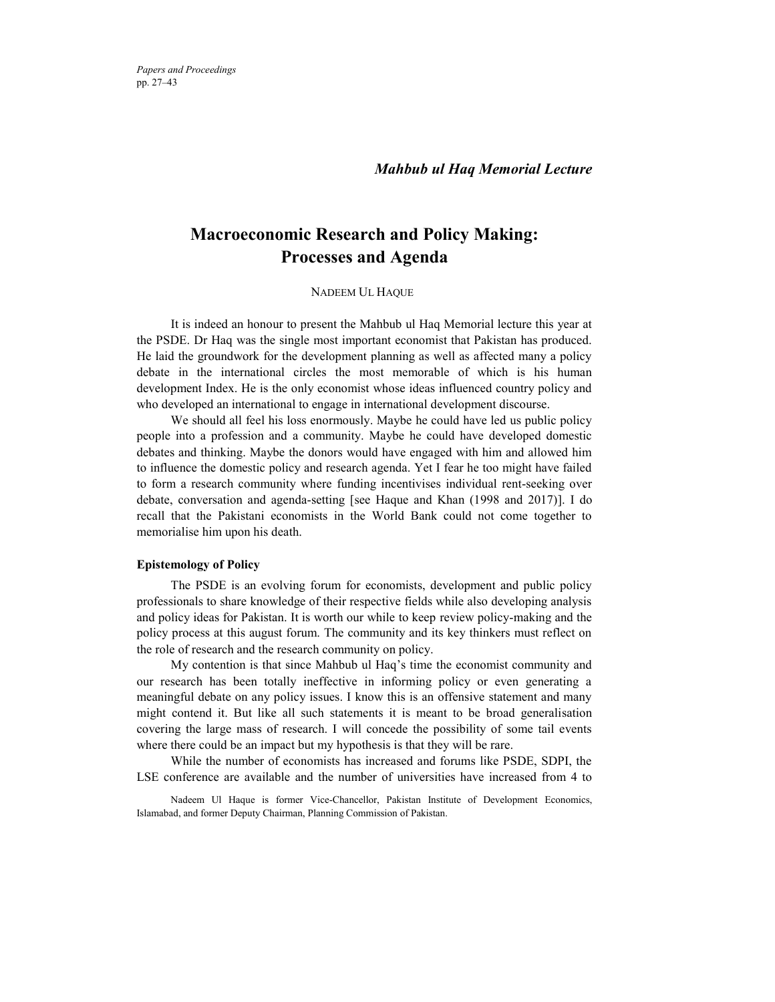*Papers and Proceedings*  pp. 27–43

*Mahbub ul Haq Memorial Lecture*

## **Macroeconomic Research and Policy Making: Processes and Agenda**

## NADEEM UL HAQUE\*

It is indeed an honour to present the Mahbub ul Haq Memorial lecture this year at the PSDE. Dr Haq was the single most important economist that Pakistan has produced. He laid the groundwork for the development planning as well as affected many a policy debate in the international circles the most memorable of which is his human development Index. He is the only economist whose ideas influenced country policy and who developed an international to engage in international development discourse.

We should all feel his loss enormously. Maybe he could have led us public policy people into a profession and a community. Maybe he could have developed domestic debates and thinking. Maybe the donors would have engaged with him and allowed him to influence the domestic policy and research agenda. Yet I fear he too might have failed to form a research community where funding incentivises individual rent-seeking over debate, conversation and agenda-setting [see Haque and Khan (1998 and 2017)]. I do recall that the Pakistani economists in the World Bank could not come together to memorialise him upon his death.

#### **Epistemology of Policy**

The PSDE is an evolving forum for economists, development and public policy professionals to share knowledge of their respective fields while also developing analysis and policy ideas for Pakistan. It is worth our while to keep review policy-making and the policy process at this august forum. The community and its key thinkers must reflect on the role of research and the research community on policy.

My contention is that since Mahbub ul Haq's time the economist community and our research has been totally ineffective in informing policy or even generating a meaningful debate on any policy issues. I know this is an offensive statement and many might contend it. But like all such statements it is meant to be broad generalisation covering the large mass of research. I will concede the possibility of some tail events where there could be an impact but my hypothesis is that they will be rare.

While the number of economists has increased and forums like PSDE, SDPI, the LSE conference are available and the number of universities have increased from 4 to

Nadeem Ul Haque is former Vice-Chancellor, Pakistan Institute of Development Economics, Islamabad, and former Deputy Chairman, Planning Commission of Pakistan.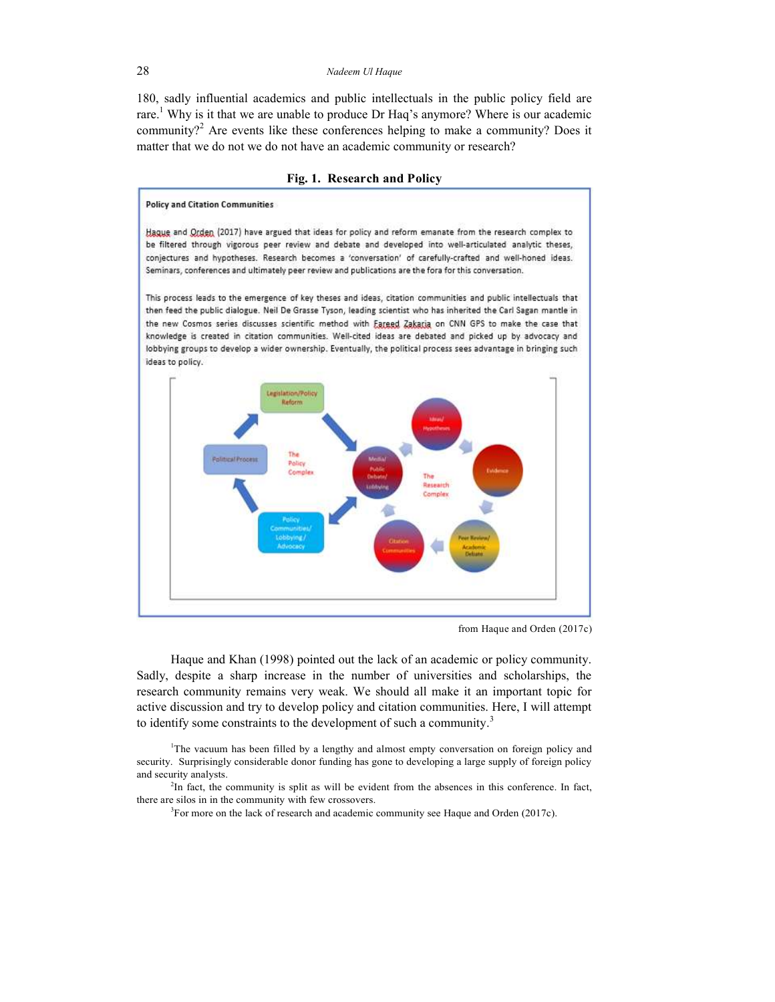180, sadly influential academics and public intellectuals in the public policy field are rare.<sup>1</sup> Why is it that we are unable to produce Dr Haq's anymore? Where is our academic community?<sup>2</sup> Are events like these conferences helping to make a community? Does it matter that we do not we do not have an academic community or research?

#### **Fig. 1. Research and Policy**

# **Policy and Citation Communities**

Hague and Orden (2017) have argued that ideas for policy and reform emanate from the research complex to be filtered through vigorous peer review and debate and developed into well-articulated analytic theses, conjectures and hypotheses. Research becomes a 'conversation' of carefully-crafted and well-honed ideas. Seminars, conferences and ultimately peer review and publications are the fora for this conversation.

This process leads to the emergence of key theses and ideas, citation communities and public intellectuals that then feed the public dialogue. Neil De Grasse Tyson, leading scientist who has inherited the Carl Sagan mantle in the new Cosmos series discusses scientific method with Eareed Zakaria on CNN GPS to make the case that knowledge is created in citation communities. Well-cited ideas are debated and picked up by advocacy and lobbying groups to develop a wider ownership. Eventually, the political process sees advantage in bringing such ideas to policy.



from Haque and Orden (2017c)

Haque and Khan (1998) pointed out the lack of an academic or policy community. Sadly, despite a sharp increase in the number of universities and scholarships, the research community remains very weak. We should all make it an important topic for active discussion and try to develop policy and citation communities. Here, I will attempt to identify some constraints to the development of such a community. $3$ 

<sup>1</sup>The vacuum has been filled by a lengthy and almost empty conversation on foreign policy and security. Surprisingly considerable donor funding has gone to developing a large supply of foreign policy and security analysts.

<sup>2</sup>In fact, the community is split as will be evident from the absences in this conference. In fact, there are silos in in the community with few crossovers.

 $3$ For more on the lack of research and academic community see Haque and Orden (2017c).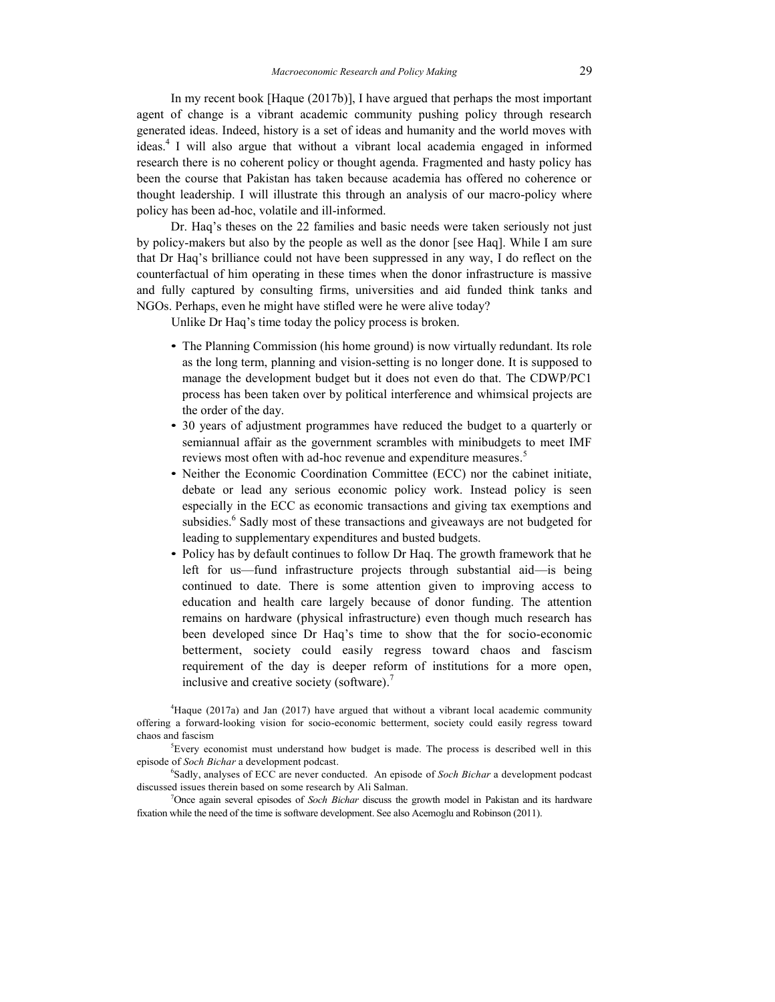In my recent book [Haque (2017b)], I have argued that perhaps the most important agent of change is a vibrant academic community pushing policy through research generated ideas. Indeed, history is a set of ideas and humanity and the world moves with ideas. 4 I will also argue that without a vibrant local academia engaged in informed research there is no coherent policy or thought agenda. Fragmented and hasty policy has been the course that Pakistan has taken because academia has offered no coherence or thought leadership. I will illustrate this through an analysis of our macro-policy where policy has been ad-hoc, volatile and ill-informed.

Dr. Haq's theses on the 22 families and basic needs were taken seriously not just by policy-makers but also by the people as well as the donor [see Haq]. While I am sure that Dr Haq's brilliance could not have been suppressed in any way, I do reflect on the counterfactual of him operating in these times when the donor infrastructure is massive and fully captured by consulting firms, universities and aid funded think tanks and NGOs. Perhaps, even he might have stifled were he were alive today?

Unlike Dr Haq's time today the policy process is broken.

- The Planning Commission (his home ground) is now virtually redundant. Its role as the long term, planning and vision-setting is no longer done. It is supposed to manage the development budget but it does not even do that. The CDWP/PC1 process has been taken over by political interference and whimsical projects are the order of the day.
- 30 years of adjustment programmes have reduced the budget to a quarterly or semiannual affair as the government scrambles with minibudgets to meet IMF reviews most often with ad-hoc revenue and expenditure measures.<sup>5</sup>
- Neither the Economic Coordination Committee (ECC) nor the cabinet initiate, debate or lead any serious economic policy work. Instead policy is seen especially in the ECC as economic transactions and giving tax exemptions and subsidies.<sup>6</sup> Sadly most of these transactions and giveaways are not budgeted for leading to supplementary expenditures and busted budgets.
- Policy has by default continues to follow Dr Haq. The growth framework that he left for us—fund infrastructure projects through substantial aid—is being continued to date. There is some attention given to improving access to education and health care largely because of donor funding. The attention remains on hardware (physical infrastructure) even though much research has been developed since Dr Haq's time to show that the for socio-economic betterment, society could easily regress toward chaos and fascism requirement of the day is deeper reform of institutions for a more open, inclusive and creative society (software).<sup>7</sup>

<sup>4</sup>Haque (2017a) and Jan (2017) have argued that without a vibrant local academic community offering a forward-looking vision for socio-economic betterment, society could easily regress toward chaos and fascism

 ${}^{5}$ Every economist must understand how budget is made. The process is described well in this episode of *Soch Bichar* a development podcast.

6 Sadly, analyses of ECC are never conducted. An episode of *Soch Bichar* a development podcast discussed issues therein based on some research by Ali Salman.

<sup>7</sup>Once again several episodes of *Soch Bichar* discuss the growth model in Pakistan and its hardware fixation while the need of the time is software development. See also Acemoglu and Robinson (2011).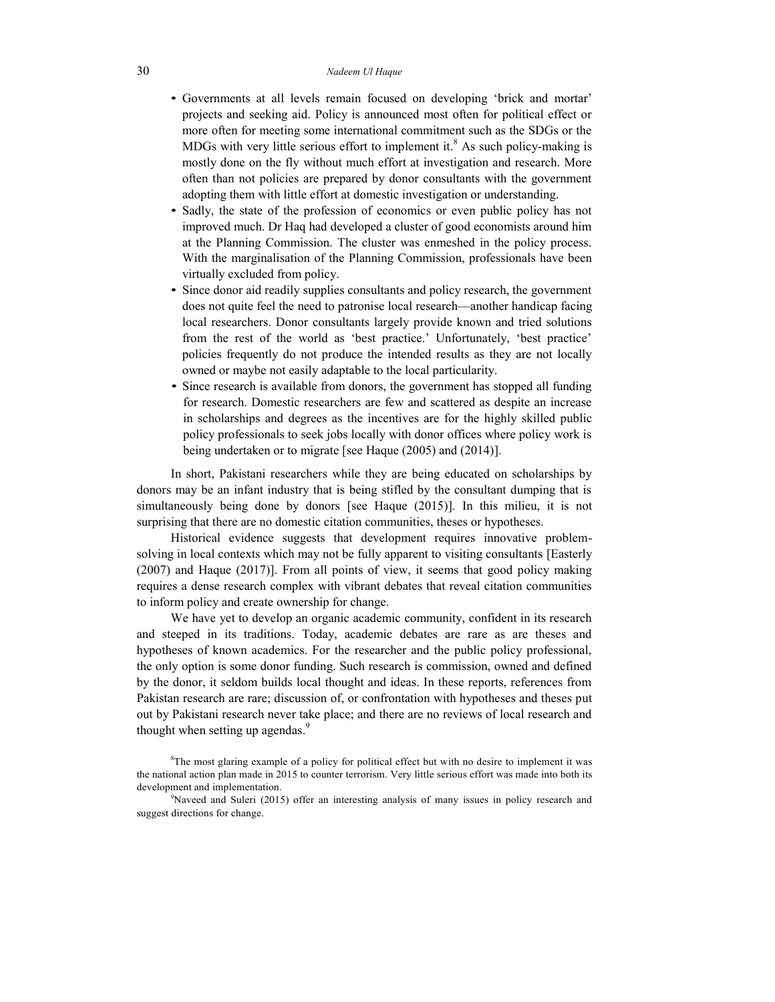- Governments at all levels remain focused on developing 'brick and mortar' projects and seeking aid. Policy is announced most often for political effect or more often for meeting some international commitment such as the SDGs or the MDGs with very little serious effort to implement it.<sup>8</sup> As such policy-making is mostly done on the fly without much effort at investigation and research. More often than not policies are prepared by donor consultants with the government adopting them with little effort at domestic investigation or understanding.
- Sadly, the state of the profession of economics or even public policy has not improved much. Dr Haq had developed a cluster of good economists around him at the Planning Commission. The cluster was enmeshed in the policy process. With the marginalisation of the Planning Commission, professionals have been virtually excluded from policy.
- Since donor aid readily supplies consultants and policy research, the government does not quite feel the need to patronise local research—another handicap facing local researchers. Donor consultants largely provide known and tried solutions from the rest of the world as 'best practice.' Unfortunately, 'best practice' policies frequently do not produce the intended results as they are not locally owned or maybe not easily adaptable to the local particularity.
- Since research is available from donors, the government has stopped all funding for research. Domestic researchers are few and scattered as despite an increase in scholarships and degrees as the incentives are for the highly skilled public policy professionals to seek jobs locally with donor offices where policy work is being undertaken or to migrate [see Haque (2005) and (2014)].

In short, Pakistani researchers while they are being educated on scholarships by donors may be an infant industry that is being stifled by the consultant dumping that is simultaneously being done by donors [see Haque (2015)]. In this milieu, it is not surprising that there are no domestic citation communities, theses or hypotheses.

Historical evidence suggests that development requires innovative problemsolving in local contexts which may not be fully apparent to visiting consultants [Easterly (2007) and Haque (2017)]. From all points of view, it seems that good policy making requires a dense research complex with vibrant debates that reveal citation communities to inform policy and create ownership for change.

We have yet to develop an organic academic community, confident in its research and steeped in its traditions. Today, academic debates are rare as are theses and hypotheses of known academics. For the researcher and the public policy professional, the only option is some donor funding. Such research is commission, owned and defined by the donor, it seldom builds local thought and ideas. In these reports, references from Pakistan research are rare; discussion of, or confrontation with hypotheses and theses put out by Pakistani research never take place; and there are no reviews of local research and thought when setting up agendas.<sup>9</sup>

<sup>&</sup>lt;sup>8</sup>The most glaring example of a policy for political effect but with no desire to implement it was the national action plan made in 2015 to counter terrorism. Very little serious effort was made into both its development and implementation.

<sup>9</sup>Naveed and Suleri (2015) offer an interesting analysis of many issues in policy research and suggest directions for change.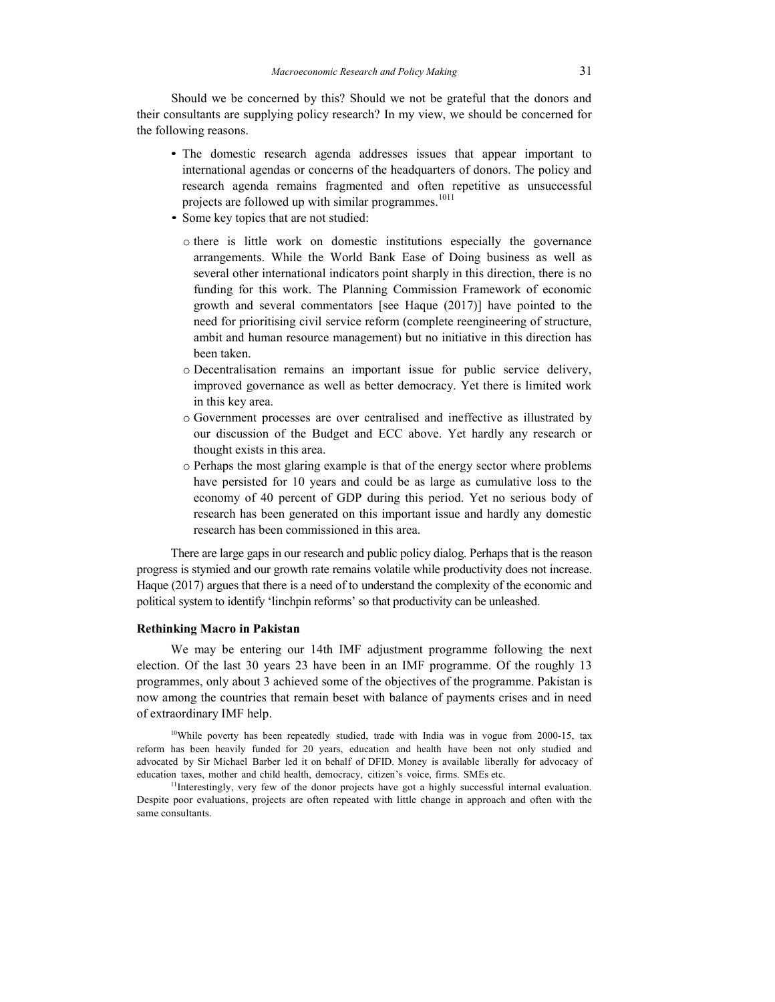Should we be concerned by this? Should we not be grateful that the donors and their consultants are supplying policy research? In my view, we should be concerned for the following reasons.

- The domestic research agenda addresses issues that appear important to international agendas or concerns of the headquarters of donors. The policy and research agenda remains fragmented and often repetitive as unsuccessful projects are followed up with similar programmes.<sup>1011</sup>
- Some key topics that are not studied:
	- o there is little work on domestic institutions especially the governance arrangements. While the World Bank Ease of Doing business as well as several other international indicators point sharply in this direction, there is no funding for this work. The Planning Commission Framework of economic growth and several commentators [see Haque (2017)] have pointed to the need for prioritising civil service reform (complete reengineering of structure, ambit and human resource management) but no initiative in this direction has been taken.
	- o Decentralisation remains an important issue for public service delivery, improved governance as well as better democracy. Yet there is limited work in this key area.
	- o Government processes are over centralised and ineffective as illustrated by our discussion of the Budget and ECC above. Yet hardly any research or thought exists in this area.
	- o Perhaps the most glaring example is that of the energy sector where problems have persisted for 10 years and could be as large as cumulative loss to the economy of 40 percent of GDP during this period. Yet no serious body of research has been generated on this important issue and hardly any domestic research has been commissioned in this area.

There are large gaps in our research and public policy dialog. Perhaps that is the reason progress is stymied and our growth rate remains volatile while productivity does not increase. Haque (2017) argues that there is a need of to understand the complexity of the economic and political system to identify 'linchpin reforms' so that productivity can be unleashed.

#### **Rethinking Macro in Pakistan**

We may be entering our 14th IMF adjustment programme following the next election. Of the last 30 years 23 have been in an IMF programme. Of the roughly 13 programmes, only about 3 achieved some of the objectives of the programme. Pakistan is now among the countries that remain beset with balance of payments crises and in need of extraordinary IMF help.

<sup>10</sup>While poverty has been repeatedly studied, trade with India was in vogue from 2000-15, tax reform has been heavily funded for 20 years, education and health have been not only studied and advocated by Sir Michael Barber led it on behalf of DFID. Money is available liberally for advocacy of education taxes, mother and child health, democracy, citizen's voice, firms. SMEs etc.

<sup>11</sup>Interestingly, very few of the donor projects have got a highly successful internal evaluation. Despite poor evaluations, projects are often repeated with little change in approach and often with the same consultants.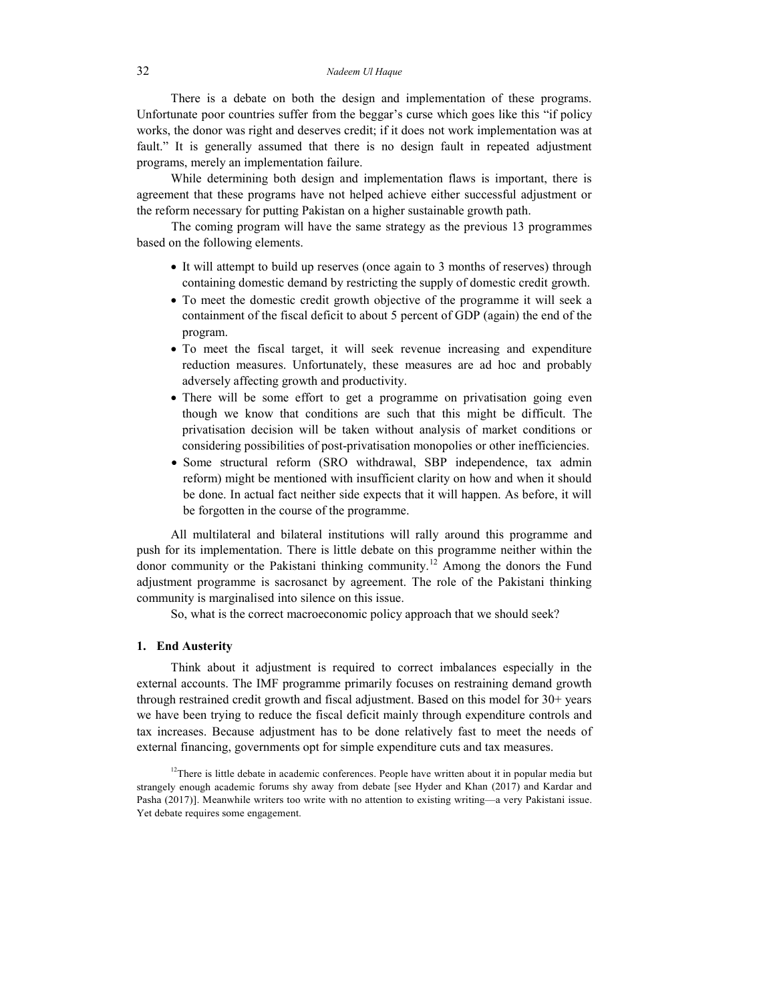There is a debate on both the design and implementation of these programs. Unfortunate poor countries suffer from the beggar's curse which goes like this "if policy works, the donor was right and deserves credit; if it does not work implementation was at fault." It is generally assumed that there is no design fault in repeated adjustment programs, merely an implementation failure.

While determining both design and implementation flaws is important, there is agreement that these programs have not helped achieve either successful adjustment or the reform necessary for putting Pakistan on a higher sustainable growth path.

The coming program will have the same strategy as the previous 13 programmes based on the following elements.

- It will attempt to build up reserves (once again to 3 months of reserves) through containing domestic demand by restricting the supply of domestic credit growth.
- To meet the domestic credit growth objective of the programme it will seek a containment of the fiscal deficit to about 5 percent of GDP (again) the end of the program.
- To meet the fiscal target, it will seek revenue increasing and expenditure reduction measures. Unfortunately, these measures are ad hoc and probably adversely affecting growth and productivity.
- There will be some effort to get a programme on privatisation going even though we know that conditions are such that this might be difficult. The privatisation decision will be taken without analysis of market conditions or considering possibilities of post-privatisation monopolies or other inefficiencies.
- Some structural reform (SRO withdrawal, SBP independence, tax admin reform) might be mentioned with insufficient clarity on how and when it should be done. In actual fact neither side expects that it will happen. As before, it will be forgotten in the course of the programme.

All multilateral and bilateral institutions will rally around this programme and push for its implementation. There is little debate on this programme neither within the donor community or the Pakistani thinking community.<sup>12</sup> Among the donors the Fund adjustment programme is sacrosanct by agreement. The role of the Pakistani thinking community is marginalised into silence on this issue.

So, what is the correct macroeconomic policy approach that we should seek?

#### **1. End Austerity**

Think about it adjustment is required to correct imbalances especially in the external accounts. The IMF programme primarily focuses on restraining demand growth through restrained credit growth and fiscal adjustment. Based on this model for 30+ years we have been trying to reduce the fiscal deficit mainly through expenditure controls and tax increases. Because adjustment has to be done relatively fast to meet the needs of external financing, governments opt for simple expenditure cuts and tax measures.

<sup>12</sup>There is little debate in academic conferences. People have written about it in popular media but strangely enough academic forums shy away from debate [see Hyder and Khan (2017) and Kardar and Pasha (2017)]. Meanwhile writers too write with no attention to existing writing—a very Pakistani issue. Yet debate requires some engagement.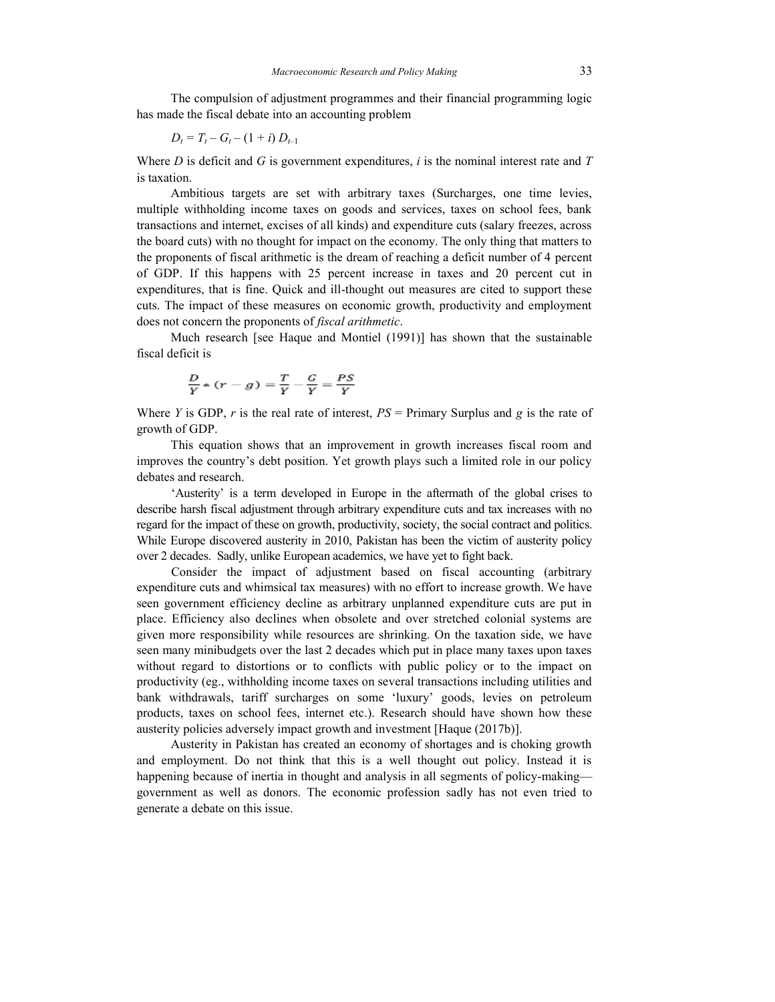The compulsion of adjustment programmes and their financial programming logic has made the fiscal debate into an accounting problem

$$
D_t = T_t - G_t - (1 + i) D_{t-1}
$$

Where *D* is deficit and *G* is government expenditures, *i* is the nominal interest rate and *T* is taxation.

Ambitious targets are set with arbitrary taxes (Surcharges, one time levies, multiple withholding income taxes on goods and services, taxes on school fees, bank transactions and internet, excises of all kinds) and expenditure cuts (salary freezes, across the board cuts) with no thought for impact on the economy. The only thing that matters to the proponents of fiscal arithmetic is the dream of reaching a deficit number of 4 percent of GDP. If this happens with 25 percent increase in taxes and 20 percent cut in expenditures, that is fine. Quick and ill-thought out measures are cited to support these cuts. The impact of these measures on economic growth, productivity and employment does not concern the proponents of *fiscal arithmetic*.

Much research [see Haque and Montiel (1991)] has shown that the sustainable fiscal deficit is

$$
\frac{D}{Y} * (r - g) = \frac{T}{Y} - \frac{G}{Y} = \frac{PS}{Y}
$$

Where *Y* is GDP, *r* is the real rate of interest,  $PS =$  Primary Surplus and *g* is the rate of growth of GDP.

This equation shows that an improvement in growth increases fiscal room and improves the country's debt position. Yet growth plays such a limited role in our policy debates and research.

'Austerity' is a term developed in Europe in the aftermath of the global crises to describe harsh fiscal adjustment through arbitrary expenditure cuts and tax increases with no regard for the impact of these on growth, productivity, society, the social contract and politics. While Europe discovered austerity in 2010, Pakistan has been the victim of austerity policy over 2 decades. Sadly, unlike European academics, we have yet to fight back.

Consider the impact of adjustment based on fiscal accounting (arbitrary expenditure cuts and whimsical tax measures) with no effort to increase growth. We have seen government efficiency decline as arbitrary unplanned expenditure cuts are put in place. Efficiency also declines when obsolete and over stretched colonial systems are given more responsibility while resources are shrinking. On the taxation side, we have seen many minibudgets over the last 2 decades which put in place many taxes upon taxes without regard to distortions or to conflicts with public policy or to the impact on productivity (eg., withholding income taxes on several transactions including utilities and bank withdrawals, tariff surcharges on some 'luxury' goods, levies on petroleum products, taxes on school fees, internet etc.). Research should have shown how these austerity policies adversely impact growth and investment [Haque (2017b)].

Austerity in Pakistan has created an economy of shortages and is choking growth and employment. Do not think that this is a well thought out policy. Instead it is happening because of inertia in thought and analysis in all segments of policy-making government as well as donors. The economic profession sadly has not even tried to generate a debate on this issue.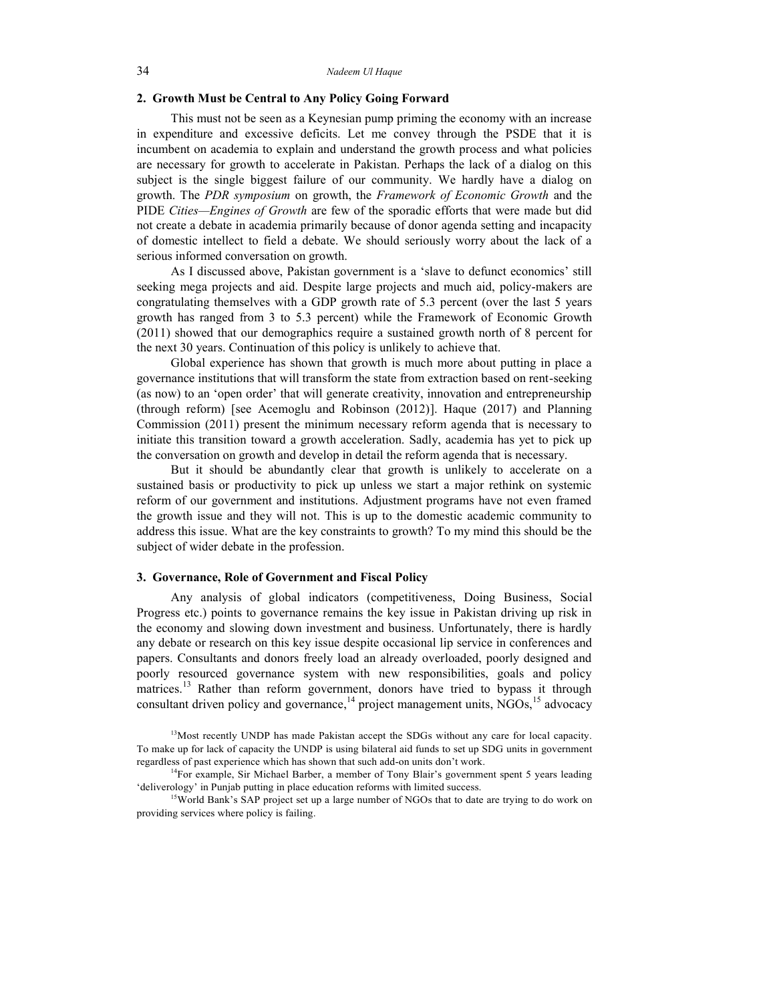## **2. Growth Must be Central to Any Policy Going Forward**

This must not be seen as a Keynesian pump priming the economy with an increase in expenditure and excessive deficits. Let me convey through the PSDE that it is incumbent on academia to explain and understand the growth process and what policies are necessary for growth to accelerate in Pakistan. Perhaps the lack of a dialog on this subject is the single biggest failure of our community. We hardly have a dialog on growth. The *PDR symposium* on growth, the *Framework of Economic Growth* and the PIDE *Cities—Engines of Growth* are few of the sporadic efforts that were made but did not create a debate in academia primarily because of donor agenda setting and incapacity of domestic intellect to field a debate. We should seriously worry about the lack of a serious informed conversation on growth.

As I discussed above, Pakistan government is a 'slave to defunct economics' still seeking mega projects and aid. Despite large projects and much aid, policy-makers are congratulating themselves with a GDP growth rate of 5.3 percent (over the last 5 years growth has ranged from 3 to 5.3 percent) while the Framework of Economic Growth (2011) showed that our demographics require a sustained growth north of 8 percent for the next 30 years. Continuation of this policy is unlikely to achieve that.

Global experience has shown that growth is much more about putting in place a governance institutions that will transform the state from extraction based on rent-seeking (as now) to an 'open order' that will generate creativity, innovation and entrepreneurship (through reform) [see Acemoglu and Robinson (2012)]. Haque (2017) and Planning Commission (2011) present the minimum necessary reform agenda that is necessary to initiate this transition toward a growth acceleration. Sadly, academia has yet to pick up the conversation on growth and develop in detail the reform agenda that is necessary.

But it should be abundantly clear that growth is unlikely to accelerate on a sustained basis or productivity to pick up unless we start a major rethink on systemic reform of our government and institutions. Adjustment programs have not even framed the growth issue and they will not. This is up to the domestic academic community to address this issue. What are the key constraints to growth? To my mind this should be the subject of wider debate in the profession.

#### **3. Governance, Role of Government and Fiscal Policy**

Any analysis of global indicators (competitiveness, Doing Business, Social Progress etc.) points to governance remains the key issue in Pakistan driving up risk in the economy and slowing down investment and business. Unfortunately, there is hardly any debate or research on this key issue despite occasional lip service in conferences and papers. Consultants and donors freely load an already overloaded, poorly designed and poorly resourced governance system with new responsibilities, goals and policy matrices.<sup>13</sup> Rather than reform government, donors have tried to bypass it through consultant driven policy and governance,  $14$  project management units, NGOs,  $15$  advocacy

<sup>13</sup>Most recently UNDP has made Pakistan accept the SDGs without any care for local capacity. To make up for lack of capacity the UNDP is using bilateral aid funds to set up SDG units in government regardless of past experience which has shown that such add-on units don't work.

<sup>14</sup>For example, Sir Michael Barber, a member of Tony Blair's government spent 5 years leading 'deliverology' in Punjab putting in place education reforms with limited success.

<sup>15</sup>World Bank's SAP project set up a large number of NGOs that to date are trying to do work on providing services where policy is failing.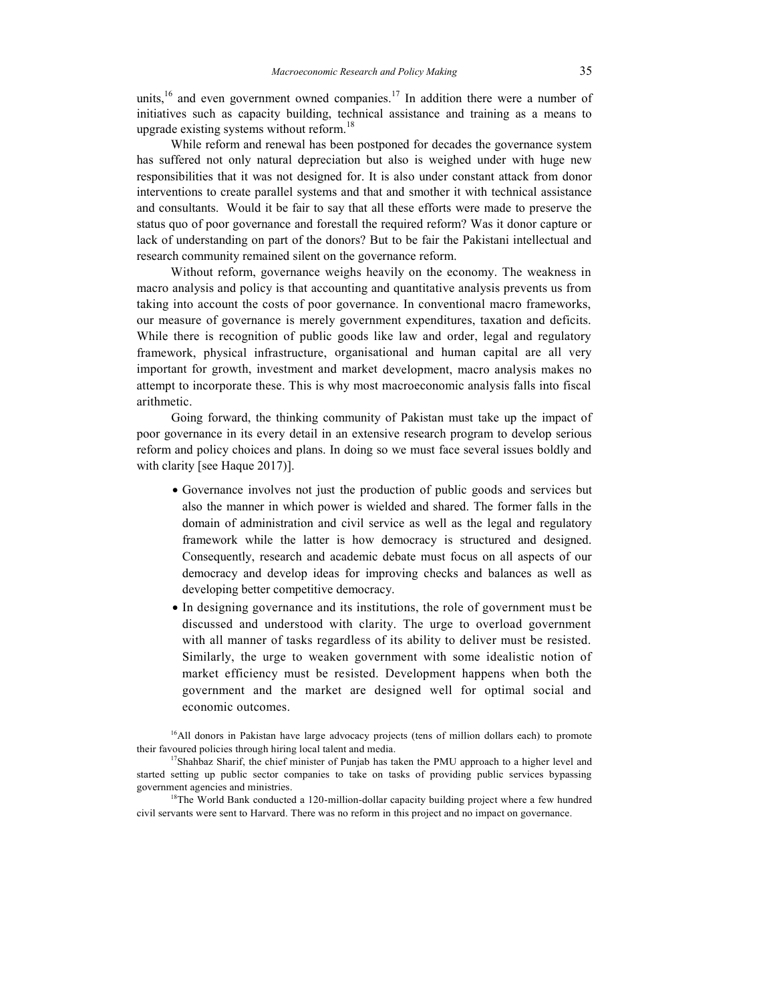units,  $16$  and even government owned companies. <sup>17</sup> In addition there were a number of initiatives such as capacity building, technical assistance and training as a means to upgrade existing systems without reform.<sup>18</sup>

While reform and renewal has been postponed for decades the governance system has suffered not only natural depreciation but also is weighed under with huge new responsibilities that it was not designed for. It is also under constant attack from donor interventions to create parallel systems and that and smother it with technical assistance and consultants. Would it be fair to say that all these efforts were made to preserve the status quo of poor governance and forestall the required reform? Was it donor capture or lack of understanding on part of the donors? But to be fair the Pakistani intellectual and research community remained silent on the governance reform.

Without reform, governance weighs heavily on the economy. The weakness in macro analysis and policy is that accounting and quantitative analysis prevents us from taking into account the costs of poor governance. In conventional macro frameworks, our measure of governance is merely government expenditures, taxation and deficits. While there is recognition of public goods like law and order, legal and regulatory framework, physical infrastructure, organisational and human capital are all very important for growth, investment and market development, macro analysis makes no attempt to incorporate these. This is why most macroeconomic analysis falls into fiscal arithmetic.

Going forward, the thinking community of Pakistan must take up the impact of poor governance in its every detail in an extensive research program to develop serious reform and policy choices and plans. In doing so we must face several issues boldly and with clarity [see Haque 2017)].

- Governance involves not just the production of public goods and services but also the manner in which power is wielded and shared. The former falls in the domain of administration and civil service as well as the legal and regulatory framework while the latter is how democracy is structured and designed. Consequently, research and academic debate must focus on all aspects of our democracy and develop ideas for improving checks and balances as well as developing better competitive democracy.
- In designing governance and its institutions, the role of government must be discussed and understood with clarity. The urge to overload government with all manner of tasks regardless of its ability to deliver must be resisted. Similarly, the urge to weaken government with some idealistic notion of market efficiency must be resisted. Development happens when both the government and the market are designed well for optimal social and economic outcomes.

 $<sup>16</sup>$ All donors in Pakistan have large advocacy projects (tens of million dollars each) to promote</sup> their favoured policies through hiring local talent and media.

 $17$ Shahbaz Sharif, the chief minister of Punjab has taken the PMU approach to a higher level and started setting up public sector companies to take on tasks of providing public services bypassing government agencies and ministries.

<sup>18</sup>The World Bank conducted a 120-million-dollar capacity building project where a few hundred civil servants were sent to Harvard. There was no reform in this project and no impact on governance.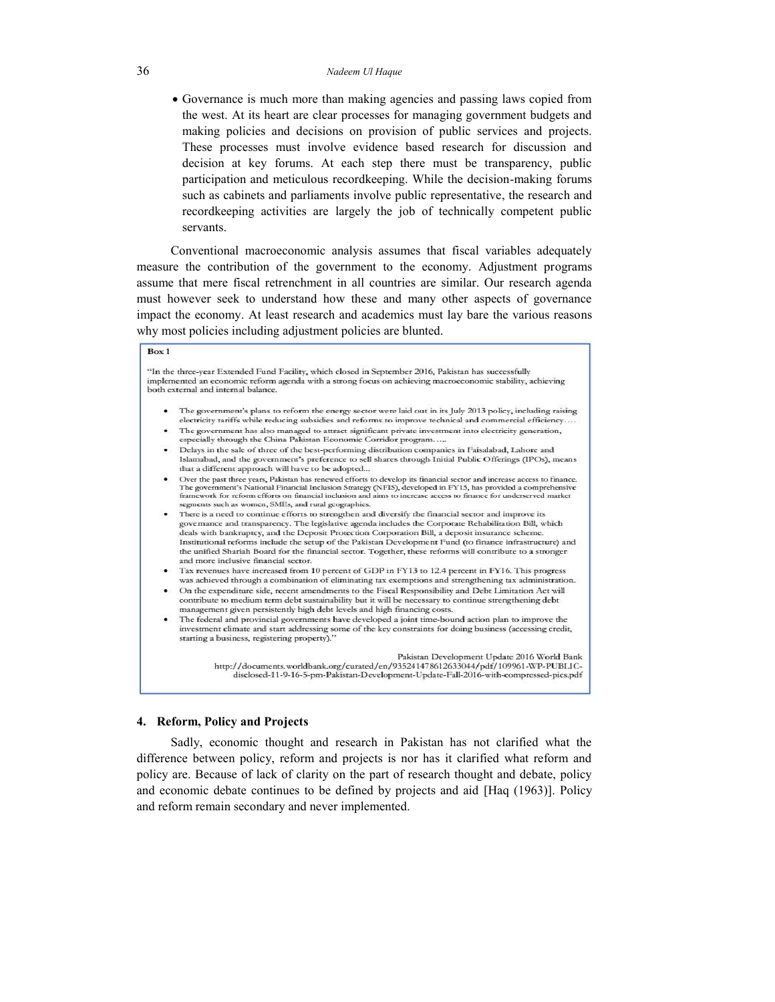Governance is much more than making agencies and passing laws copied from the west. At its heart are clear processes for managing government budgets and making policies and decisions on provision of public services and projects. These processes must involve evidence based research for discussion and decision at key forums. At each step there must be transparency, public participation and meticulous recordkeeping. While the decision-making forums such as cabinets and parliaments involve public representative, the research and recordkeeping activities are largely the job of technically competent public servants.

Conventional macroeconomic analysis assumes that fiscal variables adequately measure the contribution of the government to the economy. Adjustment programs assume that mere fiscal retrenchment in all countries are similar. Our research agenda must however seek to understand how these and many other aspects of governance impact the economy. At least research and academics must lay bare the various reasons why most policies including adjustment policies are blunted.

#### $Box 1$

"In the three-year Extended Fund Facility, which closed in September 2016, Pakistan has successfully implemented an economic reform agenda with a strong focus on achieving macroeconomic stability, achieving both external and internal balance.

- The government's plans to reform the energy sector were laid out in its July 2013 policy, including raising electricity tariffs while reducing subsidies and reforms to improve technical and commercial efficiency.
- The government has also managed to attract significant private investment into electricity generation, especially through the China Pakistan Economic Corridor program.....
- Delays in the sale of three of the best-performing distribution companies in Faisalabad, Lahore and Islamabad, and the government's preference to sell shares through Initial Public Offerings (IPOs), means that a different approach will have to be adopted...
- Over the past three years. Pakistan has renewed efforts to develop its financial sector and increase access to finance. The government's National Financial Inclusion Strategy (NFIS), developed in FY15, has provided a comprehensive<br>framework for reform efforts on financial inclusion and aims to increase access to finance for underserved mark segments such as women, SMEs, and rural geographies.
- There is a need to continue efforts to strengthen and diversify the financial sector and improve its governance and transparency. The legislative agenda includes the Corporate Rehabilitation Bill, which<br>deals with bankruptcy, and the Deposit Protection Corporation Bill, a deposit insurance scheme. Institutional reforms include the setup of the Pakistan Development Fund (to finance infrastructure) and the unified Shariah Board for the financial sector. Together, these reforms will contribute to a stronger and more inclusive financial sector.
- Tax revenues have increased from 10 percent of GDP in FY13 to 12.4 percent in FY16. This progress was achieved through a combination of eliminating tax exemptions and strengthening tax administration.
- On the expenditure side, recent amendments to the Fiscal Responsibility and Debt Limitation Act will contribute to medium term debt sustainability but it will be necessary to continue strengthening debt management given persistently high debt levels and high financing costs.
- The federal and provincial governments have developed a joint time-bound action plan to improve the investment climate and start addressing some of the key constraints for doing business (accessing credit, starting a business, registering property)."

Pakistan Development Update 2016 World Bank http://documents.worldbank.org/curated/en/935241478612633044/pdf/109961-WP-PUBLICdisclosed-11-9-16-5-pm-Pakistan-Development-Update-Fall-2016-with-compressed-pics.pdf

#### **4. Reform, Policy and Projects**

Sadly, economic thought and research in Pakistan has not clarified what the difference between policy, reform and projects is nor has it clarified what reform and policy are. Because of lack of clarity on the part of research thought and debate, policy and economic debate continues to be defined by projects and aid [Haq (1963)]. Policy and reform remain secondary and never implemented.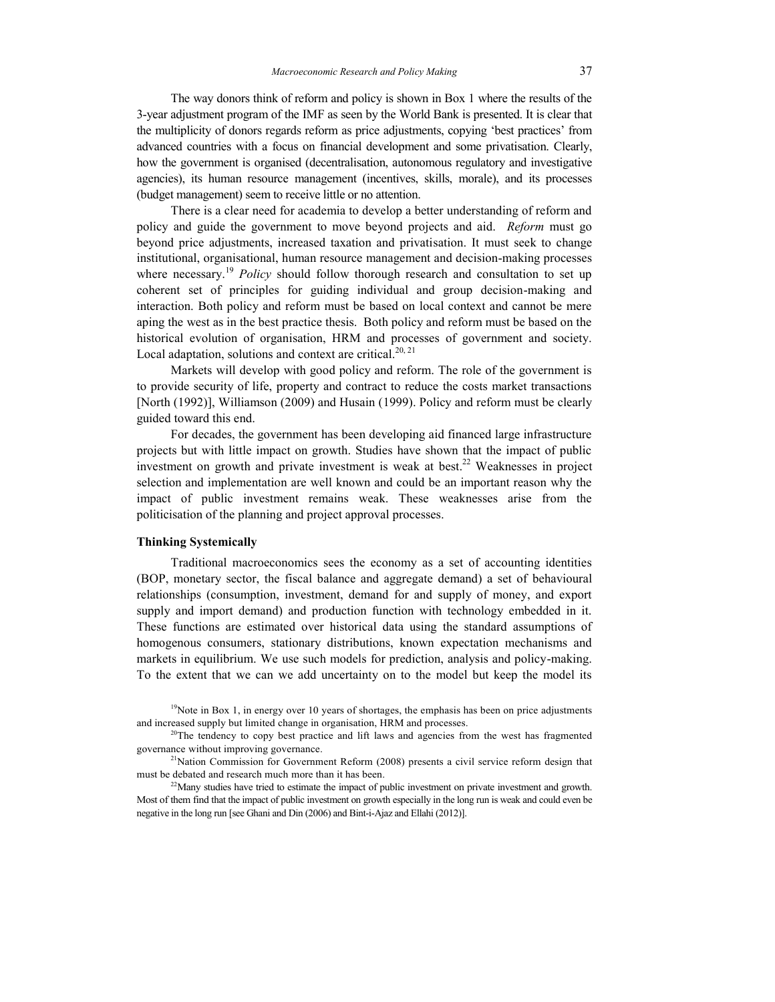The way donors think of reform and policy is shown in Box 1 where the results of the 3-year adjustment program of the IMF as seen by the World Bank is presented. It is clear that the multiplicity of donors regards reform as price adjustments, copying 'best practices' from advanced countries with a focus on financial development and some privatisation. Clearly, how the government is organised (decentralisation, autonomous regulatory and investigative agencies), its human resource management (incentives, skills, morale), and its processes (budget management) seem to receive little or no attention.

There is a clear need for academia to develop a better understanding of reform and policy and guide the government to move beyond projects and aid. *Reform* must go beyond price adjustments, increased taxation and privatisation. It must seek to change institutional, organisational, human resource management and decision-making processes where necessary.<sup>19</sup> *Policy* should follow thorough research and consultation to set up coherent set of principles for guiding individual and group decision-making and interaction. Both policy and reform must be based on local context and cannot be mere aping the west as in the best practice thesis. Both policy and reform must be based on the historical evolution of organisation, HRM and processes of government and society. Local adaptation, solutions and context are critical.<sup>20, 21</sup>

Markets will develop with good policy and reform. The role of the government is to provide security of life, property and contract to reduce the costs market transactions [North (1992)], Williamson (2009) and Husain (1999). Policy and reform must be clearly guided toward this end.

For decades, the government has been developing aid financed large infrastructure projects but with little impact on growth. Studies have shown that the impact of public investment on growth and private investment is weak at best.<sup>22</sup> Weaknesses in project selection and implementation are well known and could be an important reason why the impact of public investment remains weak. These weaknesses arise from the politicisation of the planning and project approval processes.

### **Thinking Systemically**

Traditional macroeconomics sees the economy as a set of accounting identities (BOP, monetary sector, the fiscal balance and aggregate demand) a set of behavioural relationships (consumption, investment, demand for and supply of money, and export supply and import demand) and production function with technology embedded in it. These functions are estimated over historical data using the standard assumptions of homogenous consumers, stationary distributions, known expectation mechanisms and markets in equilibrium. We use such models for prediction, analysis and policy-making. To the extent that we can we add uncertainty on to the model but keep the model its

 $^{20}$ The tendency to copy best practice and lift laws and agencies from the west has fragmented governance without improving governance.

 $2<sup>1</sup>$ Nation Commission for Government Reform (2008) presents a civil service reform design that must be debated and research much more than it has been.

 $22$ Many studies have tried to estimate the impact of public investment on private investment and growth. Most of them find that the impact of public investment on growth especially in the long run is weak and could even be negative in the long run [see Ghani and Din (2006) and Bint-i-Ajaz and Ellahi (2012)].

<sup>&</sup>lt;sup>19</sup>Note in Box 1, in energy over 10 years of shortages, the emphasis has been on price adjustments and increased supply but limited change in organisation, HRM and processes.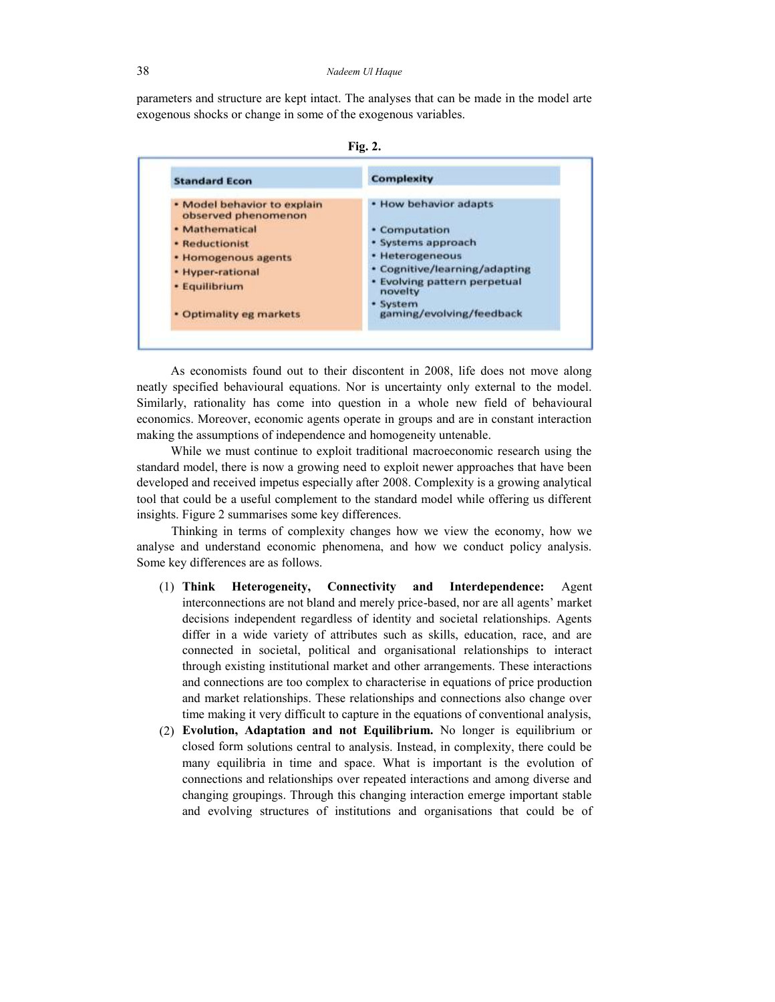parameters and structure are kept intact. The analyses that can be made in the model arte exogenous shocks or change in some of the exogenous variables.



| <b>Standard Econ</b>                               | <b>Complexity</b>                       |
|----------------------------------------------------|-----------------------------------------|
| · Model behavior to explain<br>observed phenomenon | . How behavior adapts                   |
| · Mathematical                                     | • Computation                           |
| · Reductionist                                     | · Systems approach                      |
| · Homogenous agents                                | • Heterogeneous                         |
| • Hyper-rational                                   | · Cognitive/learning/adapting           |
| · Equilibrium                                      | · Evolving pattern perpetual<br>novelty |
| · Optimality eg markets                            | · System<br>gaming/evolving/feedback    |

As economists found out to their discontent in 2008, life does not move along neatly specified behavioural equations. Nor is uncertainty only external to the model. Similarly, rationality has come into question in a whole new field of behavioural economics. Moreover, economic agents operate in groups and are in constant interaction making the assumptions of independence and homogeneity untenable.

While we must continue to exploit traditional macroeconomic research using the standard model, there is now a growing need to exploit newer approaches that have been developed and received impetus especially after 2008. Complexity is a growing analytical tool that could be a useful complement to the standard model while offering us different insights. Figure 2 summarises some key differences.

Thinking in terms of complexity changes how we view the economy, how we analyse and understand economic phenomena, and how we conduct policy analysis. Some key differences are as follows.

- (1) **Think Heterogeneity, Connectivity and Interdependence:** Agent interconnections are not bland and merely price-based, nor are all agents' market decisions independent regardless of identity and societal relationships. Agents differ in a wide variety of attributes such as skills, education, race, and are connected in societal, political and organisational relationships to interact through existing institutional market and other arrangements. These interactions and connections are too complex to characterise in equations of price production and market relationships. These relationships and connections also change over time making it very difficult to capture in the equations of conventional analysis,
- (2) **Evolution, Adaptation and not Equilibrium.** No longer is equilibrium or closed form solutions central to analysis. Instead, in complexity, there could be many equilibria in time and space. What is important is the evolution of connections and relationships over repeated interactions and among diverse and changing groupings. Through this changing interaction emerge important stable and evolving structures of institutions and organisations that could be of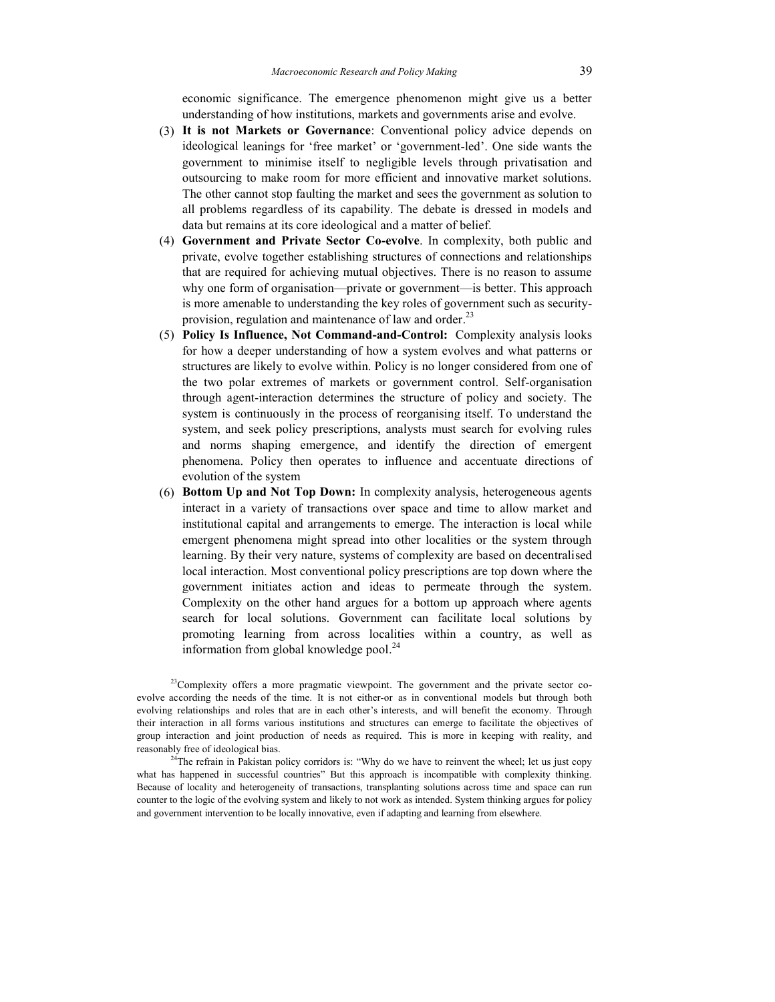economic significance. The emergence phenomenon might give us a better understanding of how institutions, markets and governments arise and evolve.

- (3) **It is not Markets or Governance**: Conventional policy advice depends on ideological leanings for 'free market' or 'government-led'. One side wants the government to minimise itself to negligible levels through privatisation and outsourcing to make room for more efficient and innovative market solutions. The other cannot stop faulting the market and sees the government as solution to all problems regardless of its capability. The debate is dressed in models and data but remains at its core ideological and a matter of belief.
- (4) **Government and Private Sector Co-evolve**. In complexity, both public and private, evolve together establishing structures of connections and relationships that are required for achieving mutual objectives. There is no reason to assume why one form of organisation—private or government—is better. This approach is more amenable to understanding the key roles of government such as securityprovision, regulation and maintenance of law and order.<sup>23</sup>
- (5) **Policy Is Influence, Not Command-and-Control:** Complexity analysis looks for how a deeper understanding of how a system evolves and what patterns or structures are likely to evolve within. Policy is no longer considered from one of the two polar extremes of markets or government control. Self-organisation through agent-interaction determines the structure of policy and society. The system is continuously in the process of reorganising itself. To understand the system, and seek policy prescriptions, analysts must search for evolving rules and norms shaping emergence, and identify the direction of emergent phenomena. Policy then operates to influence and accentuate directions of evolution of the system
- (6) **Bottom Up and Not Top Down:** In complexity analysis, heterogeneous agents interact in a variety of transactions over space and time to allow market and institutional capital and arrangements to emerge. The interaction is local while emergent phenomena might spread into other localities or the system through learning. By their very nature, systems of complexity are based on decentralised local interaction. Most conventional policy prescriptions are top down where the government initiates action and ideas to permeate through the system. Complexity on the other hand argues for a bottom up approach where agents search for local solutions. Government can facilitate local solutions by promoting learning from across localities within a country, as well as information from global knowledge pool.<sup>24</sup>

 $23$ Complexity offers a more pragmatic viewpoint. The government and the private sector coevolve according the needs of the time. It is not either-or as in conventional models but through both evolving relationships and roles that are in each other's interests, and will benefit the economy. Through their interaction in all forms various institutions and structures can emerge to facilitate the objectives of group interaction and joint production of needs as required. This is more in keeping with reality, and reasonably free of ideological bias.

 $24$ The refrain in Pakistan policy corridors is: "Why do we have to reinvent the wheel; let us just copy what has happened in successful countries" But this approach is incompatible with complexity thinking. Because of locality and heterogeneity of transactions, transplanting solutions across time and space can run counter to the logic of the evolving system and likely to not work as intended. System thinking argues for policy and government intervention to be locally innovative, even if adapting and learning from elsewhere.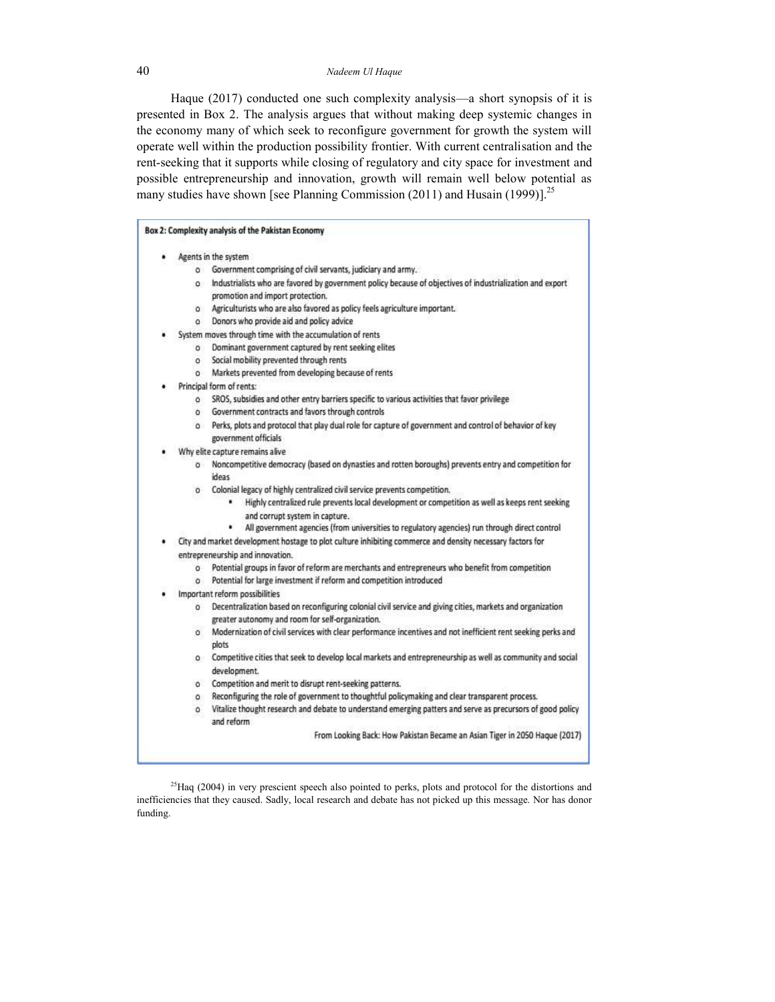Haque (2017) conducted one such complexity analysis—a short synopsis of it is presented in Box 2. The analysis argues that without making deep systemic changes in the economy many of which seek to reconfigure government for growth the system will operate well within the production possibility frontier. With current centralisation and the rent-seeking that it supports while closing of regulatory and city space for investment and possible entrepreneurship and innovation, growth will remain well below potential as many studies have shown [see Planning Commission (2011) and Husain (1999)].<sup>25</sup>

| Box 2: Complexity analysis of the Pakistan Economy                                                                                                                        |
|---------------------------------------------------------------------------------------------------------------------------------------------------------------------------|
| Agents in the system                                                                                                                                                      |
| Government comprising of civil servants, judiciary and army.<br>$\circ$                                                                                                   |
| Industrialists who are favored by government policy because of objectives of industrialization and export<br>o.<br>promotion and import protection.                       |
| Agriculturists who are also favored as policy feels agriculture important.<br>$\circ$                                                                                     |
| Donors who provide aid and policy advice<br>$\circ$                                                                                                                       |
| System moves through time with the accumulation of rents                                                                                                                  |
| Dominant government captured by rent seeking elites<br>$\circ$                                                                                                            |
| Social mobility prevented through rents<br>$\circ$                                                                                                                        |
| Markets prevented from developing because of rents<br>$\circ$                                                                                                             |
| Principal form of rents:                                                                                                                                                  |
| SROS, subsidies and other entry barriers specific to various activities that favor privilege<br>$\circ$                                                                   |
| Government contracts and favors through controls<br>$\circ$                                                                                                               |
| o Perks, plots and protocol that play dual role for capture of government and control of behavior of key<br>government officials                                          |
| Why elite capture remains alive                                                                                                                                           |
| o Noncompetitive democracy (based on dynasties and rotten boroughs) prevents entry and competition for<br>ideas                                                           |
| o Colonial legacy of highly centralized civil service prevents competition.                                                                                               |
| Highly centralized rule prevents local development or competition as well as keeps rent seeking                                                                           |
| and corrupt system in capture.<br>۰<br>All government agencies (from universities to regulatory agencies) run through direct control                                      |
| City and market development hostage to plot culture inhibiting commerce and density necessary factors for                                                                 |
| entrepreneurship and innovation.                                                                                                                                          |
| Potential groups in favor of reform are merchants and entrepreneurs who benefit from competition<br>$\circ$                                                               |
| Potential for large investment if reform and competition introduced<br>$\alpha$                                                                                           |
| Important reform possibilities                                                                                                                                            |
| Decentralization based on reconfiguring colonial civil service and giving cities, markets and organization<br>$\circ$<br>greater autonomy and room for self-organization. |
| Modernization of civil services with clear performance incentives and not inefficient rent seeking perks and<br>ö<br>plots                                                |
| Competitive cities that seek to develop local markets and entrepreneurship as well as community and social<br>$\circ$<br>development.                                     |
| Competition and merit to disrupt rent-seeking patterns.<br>$\circ$                                                                                                        |
| Reconfiguring the role of government to thoughtful policymaking and clear transparent process.<br>$\circ$                                                                 |
| Vitalize thought research and debate to understand emerging patters and serve as precursors of good policy<br>٥<br>and reform                                             |
| From Looking Back: How Pakistan Became an Asian Tiger in 2050 Haque (2017)                                                                                                |

<sup>25</sup>Haq (2004) in very prescient speech also pointed to perks, plots and protocol for the distortions and inefficiencies that they caused. Sadly, local research and debate has not picked up this message. Nor has donor funding.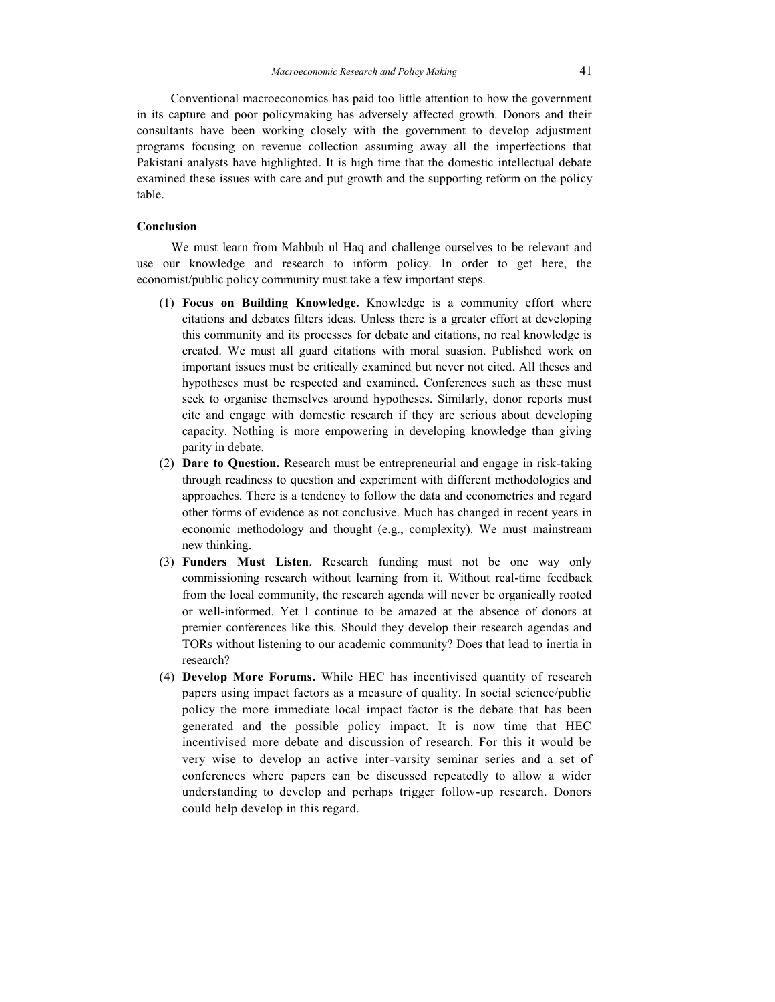Conventional macroeconomics has paid too little attention to how the government in its capture and poor policymaking has adversely affected growth. Donors and their consultants have been working closely with the government to develop adjustment programs focusing on revenue collection assuming away all the imperfections that Pakistani analysts have highlighted. It is high time that the domestic intellectual debate examined these issues with care and put growth and the supporting reform on the policy table.

#### **Conclusion**

We must learn from Mahbub ul Haq and challenge ourselves to be relevant and use our knowledge and research to inform policy. In order to get here, the economist/public policy community must take a few important steps.

- (1) **Focus on Building Knowledge.** Knowledge is a community effort where citations and debates filters ideas. Unless there is a greater effort at developing this community and its processes for debate and citations, no real knowledge is created. We must all guard citations with moral suasion. Published work on important issues must be critically examined but never not cited. All theses and hypotheses must be respected and examined. Conferences such as these must seek to organise themselves around hypotheses. Similarly, donor reports must cite and engage with domestic research if they are serious about developing capacity. Nothing is more empowering in developing knowledge than giving parity in debate.
- (2) **Dare to Question.** Research must be entrepreneurial and engage in risk-taking through readiness to question and experiment with different methodologies and approaches. There is a tendency to follow the data and econometrics and regard other forms of evidence as not conclusive. Much has changed in recent years in economic methodology and thought (e.g., complexity). We must mainstream new thinking.
- (3) **Funders Must Listen**. Research funding must not be one way only commissioning research without learning from it. Without real-time feedback from the local community, the research agenda will never be organically rooted or well-informed. Yet I continue to be amazed at the absence of donors at premier conferences like this. Should they develop their research agendas and TORs without listening to our academic community? Does that lead to inertia in research?
- (4) **Develop More Forums.** While HEC has incentivised quantity of research papers using impact factors as a measure of quality. In social science/public policy the more immediate local impact factor is the debate that has been generated and the possible policy impact. It is now time that HEC incentivised more debate and discussion of research. For this it would be very wise to develop an active inter-varsity seminar series and a set of conferences where papers can be discussed repeatedly to allow a wider understanding to develop and perhaps trigger follow-up research. Donors could help develop in this regard.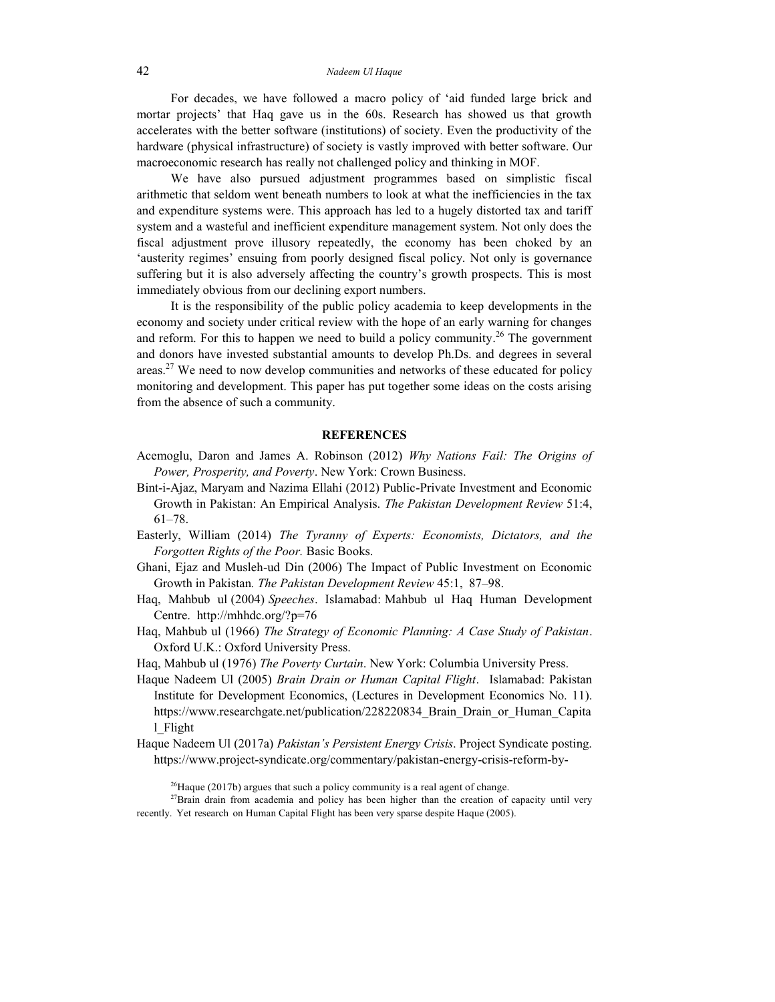For decades, we have followed a macro policy of 'aid funded large brick and mortar projects' that Haq gave us in the 60s. Research has showed us that growth accelerates with the better software (institutions) of society. Even the productivity of the hardware (physical infrastructure) of society is vastly improved with better software. Our macroeconomic research has really not challenged policy and thinking in MOF.

We have also pursued adjustment programmes based on simplistic fiscal arithmetic that seldom went beneath numbers to look at what the inefficiencies in the tax and expenditure systems were. This approach has led to a hugely distorted tax and tariff system and a wasteful and inefficient expenditure management system. Not only does the fiscal adjustment prove illusory repeatedly, the economy has been choked by an 'austerity regimes' ensuing from poorly designed fiscal policy. Not only is governance suffering but it is also adversely affecting the country's growth prospects. This is most immediately obvious from our declining export numbers.

It is the responsibility of the public policy academia to keep developments in the economy and society under critical review with the hope of an early warning for changes and reform. For this to happen we need to build a policy community.<sup>26</sup> The government and donors have invested substantial amounts to develop Ph.Ds. and degrees in several areas.<sup>27</sup> We need to now develop communities and networks of these educated for policy monitoring and development. This paper has put together some ideas on the costs arising from the absence of such a community.

#### **REFERENCES**

- Acemoglu, Daron and James A. Robinson (2012) *Why Nations Fail: The Origins of Power, Prosperity, and Poverty*. New York: Crown Business.
- Bint-i-Ajaz, Maryam and Nazima Ellahi (2012) Public-Private Investment and Economic Growth in Pakistan: An Empirical Analysis. *The Pakistan Development Review* 51:4, 61–78.
- Easterly, William (2014) *The Tyranny of Experts: Economists, Dictators, and the Forgotten Rights of the Poor.* Basic Books.
- Ghani, Ejaz and Musleh-ud Din (2006) The Impact of Public Investment on Economic Growth in Pakistan*. The Pakistan Development Review* 45:1, 87–98.
- Haq, Mahbub ul (2004) *Speeches*. Islamabad: Mahbub ul Haq Human Development Centre. [http://mhhdc.org/?](http://mhhdc.org/)p=76
- Haq, Mahbub ul (1966) *The Strategy of Economic Planning: A Case Study of Pakistan*. Oxford U.K.: Oxford University Press.
- Haq, Mahbub ul (1976) *The Poverty Curtain*. New York: Columbia University Press.
- Haque Nadeem Ul (2005) *Brain Drain or Human Capital Flight*. Islamabad: Pakistan Institute for Development Economics, (Lectures in Development Economics No. 11). https://www.researchgate.net/publication/228220834 Brain Drain or Human Capita [l\\_Flight](http://www.researchgate.net/publication/228220834_Brain_Drain_or_Human_Capital_Flight)
- Haque Nadeem Ul (2017a) *Pakistan's Persistent Energy Crisis*. Project Syndicate posting. https:[//www.project-syndicate.org/commentary/pakistan-energy-crisis-reform-by-](http://www.project-syndicate.org/commentary/pakistan-energy-crisis-reform-by-nadeem-ul-)

 $26$ Haque (2017b) argues that such a policy community is a real agent of change.

<sup>27</sup>Brain drain from academia and policy has been higher than the creation of capacity until very recently. Yet research on Human Capital Flight has been very sparse despite Haque (2005).